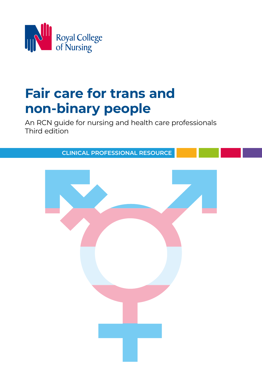

# **Fair care for trans and non-binary people**

An RCN guide for nursing and health care professionals Third edition

**CLINICAL PROFESSIONAL RESOURCE**

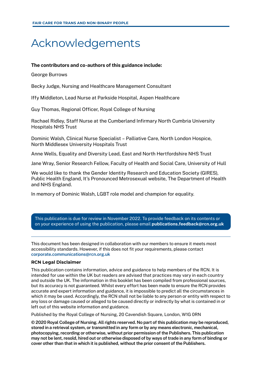## Acknowledgements

### **The contributors and co-authors of this guidance include:**

George Burrows

Becky Judge, Nursing and Healthcare Management Consultant

Iffy Middleton, Lead Nurse at Parkside Hospital, Aspen Healthcare

Guy Thomas, Regional Officer, Royal College of Nursing

Rachael Ridley, Staff Nurse at the Cumberland Infirmary North Cumbria University Hospitals NHS Trust

Dominic Walsh, Clinical Nurse Specialist – Palliative Care, North London Hospice, North Middlesex University Hospitals Trust

Anne Wells, Equality and Diversity Lead, East and North Hertfordshire NHS Trust

Jane Wray, Senior Research Fellow, Faculty of Health and Social Care, University of Hull

We would like to thank the Gender Identity Research and Education Society (GIRES), Public Health England, It's Pronounced Metrosexual website, The Department of Health and NHS England.

In memory of Dominic Walsh, LGBT role model and champion for equality.

This publication is due for review in November 2022. To provide feedback on its contents or on your experience of using the publication, please email **[publications.feedback@rcn.org.uk](mailto:publications.feedback@rcn.org.uk)**

This document has been designed in collaboration with our members to ensure it meets most accessibility standards. However, if this does not fit your requirements, please contact **[corporate.communications@rcn.org.uk](mailto:corporate.communications@rcn.org.uk)**

### **RCN Legal Disclaimer**

This publication contains information, advice and guidance to help members of the RCN. It is intended for use within the UK but readers are advised that practices may vary in each country and outside the UK. The information in this booklet has been compiled from professional sources, but its accuracy is not guaranteed. Whilst every effort has been made to ensure the RCN provides accurate and expert information and guidance, it is impossible to predict all the circumstances in which it may be used. Accordingly, the RCN shall not be liable to any person or entity with respect to any loss or damage caused or alleged to be caused directly or indirectly by what is contained in or left out of this website information and guidance.

Published by the Royal College of Nursing, 20 Cavendish Square, London, W1G 0RN

**© 2020 Royal College of Nursing. All rights reserved. No part of this publication may be reproduced, stored in a retrieval system, or transmitted in any form or by any means electronic, mechanical, photocopying, recording or otherwise, without prior permission of the Publishers. This publication may not be lent, resold, hired out or otherwise disposed of by ways of trade in any form of binding or cover other than that in which it is published, without the prior consent of the Publishers.**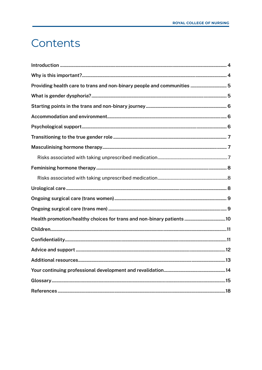### <span id="page-2-0"></span>Contents

| Providing health care to trans and non-binary people and communities  5 |     |
|-------------------------------------------------------------------------|-----|
|                                                                         |     |
|                                                                         |     |
|                                                                         |     |
|                                                                         |     |
|                                                                         |     |
|                                                                         |     |
|                                                                         |     |
|                                                                         |     |
|                                                                         |     |
|                                                                         |     |
|                                                                         |     |
|                                                                         |     |
| Health promotion/healthy choices for trans and non-binary patients 10   |     |
|                                                                         |     |
|                                                                         |     |
|                                                                         |     |
|                                                                         | .13 |
|                                                                         |     |
|                                                                         |     |
|                                                                         |     |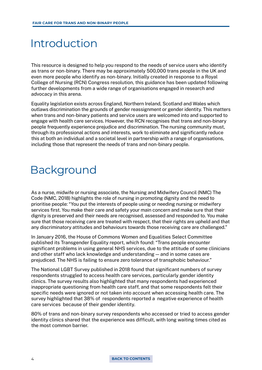## <span id="page-3-0"></span>Introduction

This resource is designed to help you respond to the needs of service users who identify as trans or non-binary. There may be approximately 500,000 trans people in the UK and even more people who identify as non-binary. Initially created in response to a Royal College of Nursing (RCN) Congress resolution, this guidance has been updated following further developments from a wide range of organisations engaged in research and advocacy in this arena.

Equality legislation exists across England, Northern Ireland, Scotland and Wales which outlaws discrimination the grounds of gender reassignment or gender identity. This matters when trans and non-binary patients and service users are welcomed into and supported to engage with health care services. However, the RCN recognises that trans and non-binary people frequently experience prejudice and discrimination. The nursing community must, through its professional actions and interests, work to eliminate and significantly reduce this at both an individual and a societal level in partnership with a range of organisations, including those that represent the needs of trans and non-binary people.

### Background

As a nurse, midwife or nursing associate, the Nursing and Midwifery Council (NMC) The Code (NMC, 2018) highlights the role of nursing in promoting dignity and the need to prioritise people: "You put the interests of people using or needing nursing or midwifery services first. You make their care and safety your main concern and make sure that their dignity is preserved and their needs are recognised, assessed and responded to. You make sure that those receiving care are treated with respect, that their rights are upheld and that any discriminatory attitudes and behaviours towards those receiving care are challenged."

In January 2016, the House of Commons Women and Equalities Select Committee published its Transgender Equality report, which found: "Trans people encounter significant problems in using general NHS services, due to the attitude of some clinicians and other staff who lack knowledge and understanding — and in some cases are prejudiced. The NHS is failing to ensure zero tolerance of transphobic behaviour."

The National LGBT Survey published in 2018 found that significant numbers of survey respondents struggled to access health care services, particularly gender identity clinics. The survey results also highlighted that many respondents had experienced inappropriate questioning from health care staff, and that some respondents felt their specific needs were ignored or not taken into account when accessing health care. The survey highlighted that 38% of respondents reported a negative experience of health care services because of their gender identity.

80% of trans and non-binary survey respondents who accessed or tried to access gender identity clinics shared that the experience was difficult, with long waiting times cited as the most common barrier.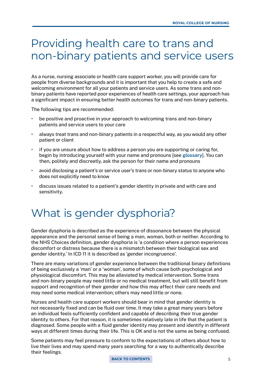## <span id="page-4-0"></span>Providing health care to trans and non-binary patients and service users

As a nurse, nursing associate or health care support worker, you will provide care for people from diverse backgrounds and it is important that you help to create a safe and welcoming environment for all your patients and service users. As some trans and nonbinary patients have reported poor experiences of health care settings, your approach has a significant impact in ensuring better health outcomes for trans and non-binary patients.

The following tips are recommended:

- be positive and proactive in your approach to welcoming trans and non-binary patients and service users to your care
- always treat trans and non-binary patients in a respectful way, as you would any other patient or client
- if you are unsure about how to address a person you are supporting or caring for, begin by introducing yourself with your name and pronouns [see **[glossary](#page-14-0)**]. You can then, politely and discreetly, ask the person for their name and pronouns
- avoid disclosing a patient's or service user's trans or non-binary status to anyone who does not explicitly need to know
- discuss issues related to a patient's gender identity in private and with care and sensitivity.

## What is gender dysphoria?

Gender dysphoria is described as the experience of dissonance between the physical appearance and the personal sense of being a man, woman, both or neither. According to the NHS Choices definition, gender dysphoria is 'a condition where a person experiences discomfort or distress because there is a mismatch between their biological sex and gender identity.' In ICD 11 it is described as 'gender incongruence'.

There are many variations of gender experience between the traditional binary definitions of being exclusively a 'man' or a 'woman', some of which cause both psychological and physiological discomfort. This may be alleviated by medical intervention. Some trans and non-binary people may need little or no medical treatment, but will still benefit from support and recognition of their gender and how this may affect their care needs and may need some medical intervention; others may need little or none.

Nurses and health care support workers should bear in mind that gender identity is not necessarily fixed and can be fluid over time. It may take a great many years before an individual feels sufficiently confident and capable of describing their true gender identity to others. For that reason, it is sometimes relatively late in life that the patient is diagnosed. Some people with a fluid gender identity may present and identify in different ways at different times during their life. This is OK and is not the same as being confused.

Some patients may feel pressure to conform to the expectations of others about how to live their lives and may spend many years searching for a way to authentically describe their feelings.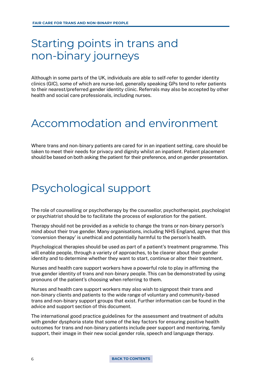### <span id="page-5-0"></span>Starting points in trans and non-binary journeys

Although in some parts of the UK, individuals are able to self-refer to gender identity clinics (GIC), some of which are nurse-led, generally speaking GPs tend to refer patients to their nearest/preferred gender identity clinic. Referrals may also be accepted by other health and social care professionals, including nurses.

### Accommodation and environment

Where trans and non-binary patients are cared for in an inpatient setting, care should be taken to meet their needs for privacy and dignity whilst an inpatient. Patient placement should be based on both asking the patient for their preference, and on gender presentation.

### Psychological support

The role of counselling or psychotherapy by the counsellor, psychotherapist, psychologist or psychiatrist should be to facilitate the process of exploration for the patient.

Therapy should not be provided as a vehicle to change the trans or non-binary person's mind about their true gender. Many organisations, including NHS England, agree that this 'conversion therapy' is unethical and potentially harmful to the person's health.

Psychological therapies should be used as part of a patient's treatment programme. This will enable people, through a variety of approaches, to be clearer about their gender identity and to determine whether they want to start, continue or alter their treatment.

Nurses and health care support workers have a powerful role to play in affirming the true gender identity of trans and non-binary people. This can be demonstrated by using pronouns of the patient's choosing when referring to them.

Nurses and health care support workers may also wish to signpost their trans and non-binary clients and patients to the wide range of voluntary and community-based trans and non-binary support groups that exist. Further information can be found in the advice and support section of this document.

The international good practice guidelines for the assessment and treatment of adults with gender dysphoria state that some of the key factors for ensuring positive health outcomes for trans and non-binary patients include peer support and mentoring, family support, their image in their new social gender role, speech and language therapy.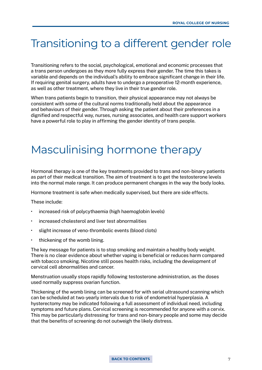### <span id="page-6-0"></span>Transitioning to a different gender role

Transitioning refers to the social, psychological, emotional and economic processes that a trans person undergoes as they more fully express their gender. The time this takes is variable and depends on the individual's ability to embrace significant change in their life. If requiring genital surgery, adults have to undergo a preoperative 12-month experience, as well as other treatment, where they live in their true gender role.

When trans patients begin to transition, their physical appearance may not always be consistent with some of the cultural norms traditionally held about the appearance and behaviours of their gender. Through asking the patient about their preferences in a dignified and respectful way, nurses, nursing associates, and health care support workers have a powerful role to play in affirming the gender identity of trans people.

### Masculinising hormone therapy

Hormonal therapy is one of the key treatments provided to trans and non-binary patients as part of their medical transition. The aim of treatment is to get the testosterone levels into the normal male range. It can produce permanent changes in the way the body looks.

Hormone treatment is safe when medically supervised, but there are side effects.

These include:

- increased risk of polycythaemia (high haemoglobin levels)
- increased cholesterol and liver test abnormalities
- slight increase of veno-thrombolic events (blood clots)
- thickening of the womb lining.

The key message for patients is to stop smoking and maintain a healthy body weight. There is no clear evidence about whether vaping is beneficial or reduces harm compared with tobacco smoking. Nicotine still poses health risks, including the development of cervical cell abnormalities and cancer.

Menstruation usually stops rapidly following testosterone administration, as the doses used normally suppress ovarian function.

Thickening of the womb lining can be screened for with serial ultrasound scanning which can be scheduled at two-yearly intervals due to risk of endometrial hyperplasia. A hysterectomy may be indicated following a full assessment of individual need, including symptoms and future plans. Cervical screening is recommended for anyone with a cervix. This may be particularly distressing for trans and non-binary people and some may decide that the benefits of screening do not outweigh the likely distress.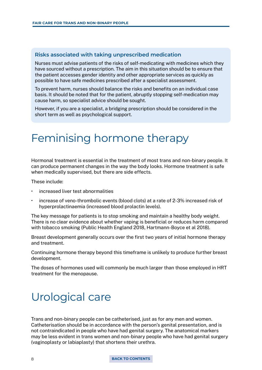### <span id="page-7-0"></span>**Risks associated with taking unprescribed medication**

Nurses must advise patients of the risks of self-medicating with medicines which they have sourced without a prescription. The aim in this situation should be to ensure that the patient accesses gender identity and other appropriate services as quickly as possible to have safe medicines prescribed after a specialist assessment.

To prevent harm, nurses should balance the risks and benefits on an individual case basis. It should be noted that for the patient, abruptly stopping self-medication may cause harm, so specialist advice should be sought.

However, if you are a specialist, a bridging prescription should be considered in the short term as well as psychological support.

## Feminising hormone therapy

Hormonal treatment is essential in the treatment of most trans and non-binary people. It can produce permanent changes in the way the body looks. Hormone treatment is safe when medically supervised, but there are side effects.

These include:

- increased liver test abnormalities
- increase of veno-thrombolic events (blood clots) at a rate of 2-3% increased risk of hyperprolactinaemia (increased blood prolactin levels).

The key message for patients is to stop smoking and maintain a healthy body weight. There is no clear evidence about whether vaping is beneficial or reduces harm compared with tobacco smoking (Public Health England 2018, Hartmann-Boyce et al 2018).

Breast development generally occurs over the first two years of initial hormone therapy and treatment.

Continuing hormone therapy beyond this timeframe is unlikely to produce further breast development.

The doses of hormones used will commonly be much larger than those employed in HRT treatment for the menopause.

## Urological care

Trans and non-binary people can be catheterised, just as for any men and women. Catheterisation should be in accordance with the person's genital presentation, and is not contraindicated in people who have had genital surgery. The anatomical markers may be less evident in trans women and non-binary people who have had genital surgery (vaginoplasty or labiaplasty) that shortens their urethra.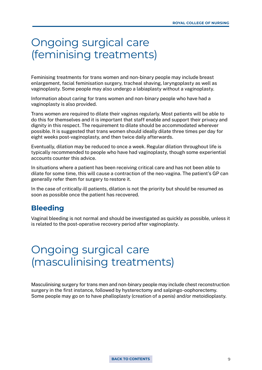### <span id="page-8-0"></span>Ongoing surgical care (feminising treatments)

Feminising treatments for trans women and non-binary people may include breast enlargement, facial feminisation surgery, tracheal shaving, laryngoplasty as well as vaginoplasty. Some people may also undergo a labiaplasty without a vaginoplasty.

Information about caring for trans women and non-binary people who have had a vaginoplasty is also provided.

Trans women are required to dilate their vaginas regularly. Most patients will be able to do this for themselves and it is important that staff enable and support their privacy and dignity in this respect. The requirement to dilate should be accommodated wherever possible. It is suggested that trans women should ideally dilate three times per day for eight weeks post-vaginoplasty, and then twice daily afterwards.

Eventually, dilation may be reduced to once a week. Regular dilation throughout life is typically recommended to people who have had vaginoplasty, though some experiential accounts counter this advice.

In situations where a patient has been receiving critical care and has not been able to dilate for some time, this will cause a contraction of the neo-vagina. The patient's GP can generally refer them for surgery to restore it.

In the case of critically-ill patients, dilation is not the priority but should be resumed as soon as possible once the patient has recovered.

### **Bleeding**

Vaginal bleeding is not normal and should be investigated as quickly as possible, unless it is related to the post-operative recovery period after vaginoplasty.

## Ongoing surgical care (masculinising treatments)

Masculinising surgery for trans men and non-binary people may include chest reconstruction surgery in the first instance, followed by hysterectomy and salpingo-oophorectemy. Some people may go on to have phalloplasty (creation of a penis) and/or metoidioplasty.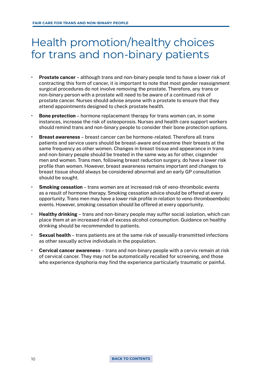## <span id="page-9-0"></span>Health promotion/healthy choices for trans and non-binary patients

- **Prostate cancer** although trans and non-binary people tend to have a lower risk of contracting this form of cancer, it is important to note that most gender reassignment surgical procedures do not involve removing the prostate. Therefore, any trans or non-binary person with a prostate will need to be aware of a continued risk of prostate cancer. Nurses should advise anyone with a prostate to ensure that they attend appointments designed to check prostate health.
- **Bone protection** hormone replacement therapy for trans women can, in some instances, increase the risk of osteoporosis. Nurses and health care support workers should remind trans and non-binary people to consider their bone protection options.
- **Breast awareness** breast cancer can be hormone-related. Therefore all trans patients and service users should be breast-aware and examine their breasts at the same frequency as other women. Changes in breast tissue and appearance in trans and non-binary people should be treated in the same way as for other, cisgender men and women. Trans men, following breast reduction surgery, do have a lower risk profile than women. However, breast awareness remains important and changes to breast tissue should always be considered abnormal and an early GP consultation should be sought.
- **Smoking cessation** trans women are at increased risk of veno-thrombolic events as a result of hormone therapy. Smoking cessation advice should be offered at every opportunity. Trans men may have a lower risk profile in relation to veno-thromboembolic events. However, smoking cessation should be offered at every opportunity.
- **Healthy drinking** trans and non-binary people may suffer social isolation, which can place them at an increased risk of excess alcohol consumption. Guidance on healthy drinking should be recommended to patients.
- **Sexual health** trans patients are at the same risk of sexually-transmitted infections as other sexually active individuals in the population.
- **Cervical cancer awareness** trans and non-binary people with a cervix remain at risk of cervical cancer. They may not be automatically recalled for screening, and those who experience dysphoria may find the experience particularly traumatic or painful.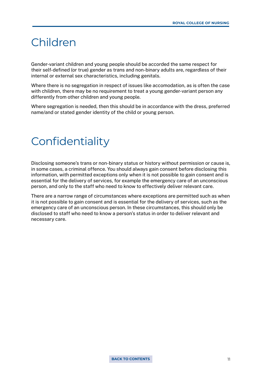### <span id="page-10-0"></span>Children

Gender-variant children and young people should be accorded the same respect for their self-defined (or true) gender as trans and non-binary adults are, regardless of their internal or external sex characteristics, including genitals.

Where there is no segregation in respect of issues like accomodation, as is often the case with children, there may be no requirement to treat a young gender-variant person any differently from other children and young people.

Where segregation is needed, then this should be in accordance with the dress, preferred name/and or stated gender identity of the child or young person.

## **Confidentiality**

Disclosing someone's trans or non-binary status or history without permission or cause is, in some cases, a criminal offence. You should always gain consent before disclosing this information, with permitted exceptions only when it is not possible to gain consent and is essential for the delivery of services, for example the emergency care of an unconscious person, and only to the staff who need to know to effectively deliver relevant care.

There are a narrow range of circumstances where exceptions are permitted such as when it is not possible to gain consent and is essential for the delivery of services, such as the emergency care of an unconscious person. In these circumstances, this should only be disclosed to staff who need to know a person's status in order to deliver relevant and necessary care.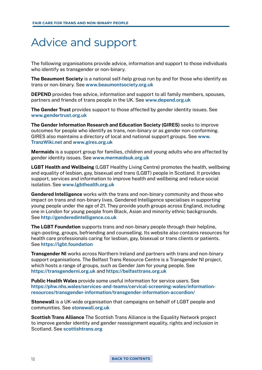## <span id="page-11-0"></span>Advice and support

The following organisations provide advice, information and support to those individuals who identify as transgender or non-binary.

**The Beaumont Society** is a national self-help group run by and for those who identify as trans or non-binary. See **[www.beaumontsociety.org.uk](http://www.beaumontsociety.org.uk)**

**DEPEND** provides free advice, information and support to all family members, spouses, partners and friends of trans people in the UK. See **[www.depend.org.uk](http://www.depend.org.uk)**

**The Gender Trust** provides support to those affected by gender identity issues. See **[www.gendertrust.org.uk](http://www.gendertrust.org.uk)**

**The Gender Information Research and Education Society (GIRES)** seeks to improve outcomes for people who identify as trans, non-binary or as gender non-conforming. GIRES also maintains a directory of local and national support groups. See **[www.](http://www.TranzWiki.net) [TranzWiki.net](http://www.TranzWiki.net)** and **[www.gires.org.uk](http://www.gires.org.uk)**

**Mermaids** is a support group for families, children and young adults who are affected by gender identity issues. See **[www.mermaidsuk.org.uk](http://www.mermaidsuk.org.uk)**

**LGBT Health and Wellbeing** (LGBT Healthy Living Centre) promotes the health, wellbeing and equality of lesbian, gay, bisexual and trans (LGBT) people in Scotland. It provides support, services and information to improve health and wellbeing and reduce social isolation. See **[www.lgbthealth.org.uk](http://www.lgbthealth.org.uk)**

**Gendered Intelligence** works with the trans and non-binary community and those who impact on trans and non-binary lives. Gendered Intelligence specialises in supporting young people under the age of 21. They provide youth groups across England, including one in London for young people from Black, Asian and minority ethnic backgrounds. See **<http://genderedintelligence.co.uk>**

**The LGBT Foundation** supports trans and non-binary people through their helpline, sign-posting, groups, befriending and counselling. Its website also contains resources for health care professionals caring for lesbian, gay, bisexual or trans clients or patients. See **<https://lgbt.foundation>**

**Transgender NI** works across Northern Ireland and partners with trans and non-binary support organisations. The Belfast Trans Resource Centre is a Transgender NI project, which hosts a range of groups, such as Gender Jam for young people. See **<https://transgenderni.org.uk>** and **<https://belfasttrans.org.uk>**

**Public Health Wales** provide some useful information for service users. See **[https://phw.nhs.wales/services-and-teams/cervical-screening-wales/information](https://phw.nhs.wales/services-and-teams/cervical-screening-wales/information-resources/transgender-information/transgender-information-accordion/)[resources/transgender-information/transgender-information-accordion/](https://phw.nhs.wales/services-and-teams/cervical-screening-wales/information-resources/transgender-information/transgender-information-accordion/)**

**Stonewall** is a UK-wide organisation that campaigns on behalf of LGBT people and communities. See **[stonewall.org.uk](http://stonewall.org.uk)**

**Scottish Trans Alliance** The Scottish Trans Alliance is the Equality Network project to improve gender identity and gender reassignment equality, rights and inclusion in Scotland. See **[scottishtrans.org](http://scottishtrans.org)**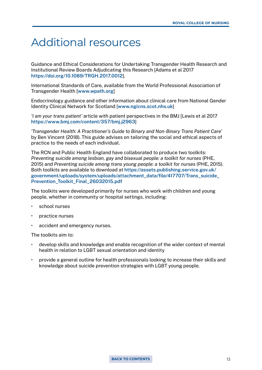### <span id="page-12-0"></span>Additional resources

Guidance and Ethical Considerations for Undertaking Transgender Health Research and Institutional Review Boards Adjudicating this Research [Adams et al 2017 **<https://doi.org/10.1089/TRGH.2017.0012>**].

International Standards of Care, available from the World Professional Association of Transgender Health [**[www.wpath.org](http://www.wpath.org)**]

Endocrinology guidance and other information about clinical care from National Gender Identity Clinical Network for Scotland [**[www.ngicns.scot.nhs.uk](http://www.ngicns.scot.nhs.uk)**]

*'I am your trans patient'* article with patient perspectives in the BMJ [Lewis et al 2017 **<https://www.bmj.com/content/357/bmj.j2963>**]

*'Transgender Health: A Practitioner's Guide to Binary and Non-Binary Trans Patient Care'* by Ben Vincent (2018). This guide advises on tailoring the social and ethical aspects of practice to the needs of each individual.

The RCN and Public Health England have collaborated to produce two toolkits: *Preventing suicide among lesbian, gay and bisexual people: a toolkit for nurses* (PHE, 2015) and *Preventing suicide among trans young people: a toolkit for nurses* (PHE, 2015). Both toolkits are available to download at **[https://assets.publishing.service.gov.uk/](https://assets.publishing.service.gov.uk/government/uploads/system/uploads/attachment_data/file/417707/Trans_suicide_Prevention_Toolkit_Final_26032015.pdf) [government/uploads/system/uploads/attachment\\_data/file/417707/Trans\\_suicide\\_](https://assets.publishing.service.gov.uk/government/uploads/system/uploads/attachment_data/file/417707/Trans_suicide_Prevention_Toolkit_Final_26032015.pdf) [Prevention\\_Toolkit\\_Final\\_26032015.pdf](https://assets.publishing.service.gov.uk/government/uploads/system/uploads/attachment_data/file/417707/Trans_suicide_Prevention_Toolkit_Final_26032015.pdf)**

The toolkits were developed primarily for nurses who work with children and young people, whether in community or hospital settings, including:

- school nurses
- practice nurses
- accident and emergency nurses.

The toolkits aim to:

- develop skills and knowledge and enable recognition of the wider context of mental health in relation to LGBT sexual orientation and identity
- provide a general outline for health professionals looking to increase their skills and knowledge about suicide prevention strategies with LGBT young people.

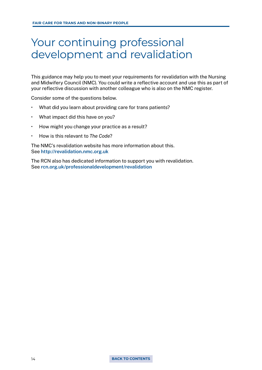## <span id="page-13-0"></span>Your continuing professional development and revalidation

This guidance may help you to meet your requirements for revalidation with the Nursing and Midwifery Council (NMC). You could write a reflective account and use this as part of your reflective discussion with another colleague who is also on the NMC register.

Consider some of the questions below.

- What did you learn about providing care for trans patients?
- What impact did this have on you?
- How might you change your practice as a result?
- How is this relevant to *The Code*?

The NMC's revalidation website has more information about this. See **<http://revalidation.nmc.org.uk>**

The RCN also has dedicated information to support you with revalidation. See **[rcn.org.uk/professionaldevelopment/revalidation](http://rcn.org.uk/professionaldevelopment/revalidation)**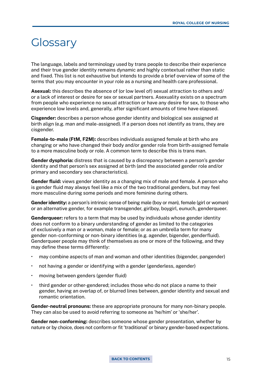### <span id="page-14-0"></span>**Glossary**

The language, labels and terminology used by trans people to describe their experience and their true gender identity remains dynamic and highly contextual rather than static and fixed. This list is not exhaustive but intends to provide a brief overview of some of the terms that you may encounter in your role as a nursing and health care professional.

**Asexual:** this describes the absence of (or low level of) sexual attraction to others and/ or a lack of interest or desire for sex or sexual partners. Asexuality exists on a spectrum from people who experience no sexual attraction or have any desire for sex, to those who experience low levels and, generally, after significant amounts of time have elapsed.

**Cisgender:** describes a person whose gender identity and biological sex assigned at birth align (e.g. man and male-assigned). If a person does not identify as trans, they are cisgender.

**Female-to-male (FtM, F2M):** describes individuals assigned female at birth who are changing or who have changed their body and/or gender role from birth-assigned female to a more masculine body or role. A common term to describe this is trans man.

**Gender dysphoria:** distress that is caused by a discrepancy between a person's gender identity and that person's sex assigned at birth (and the associated gender role and/or primary and secondary sex characteristics).

**Gender fluid:** views gender identity as a changing mix of male and female. A person who is gender fluid may always feel like a mix of the two traditional genders, but may feel more masculine during some periods and more feminine during others.

**Gender identity:** a person's intrinsic sense of being male (boy or man), female (girl or woman) or an alternative gender, for example transgender, girlboy, boygirl, eunuch, genderqueer.

**Genderqueer:** refers to a term that may be used by individuals whose gender identity does not conform to a binary understanding of gender as limited to the categories of exclusively a man or a woman, male or female; or as an umbrella term for many gender non-conforming or non-binary identities (e.g. agender, bigender, genderfluid). Genderqueer people may think of themselves as one or more of the following, and they may define these terms differently:

- may combine aspects of man and woman and other identities (bigender, pangender)
- not having a gender or identifying with a gender (genderless, agender)
- moving between genders (gender fluid)
- third gender or other-gendered; includes those who do not place a name to their gender, having an overlap of, or blurred lines between, gender identity and sexual and romantic orientation.

**Gender-neutral pronouns:** these are appropriate pronouns for many non-binary people. They can also be used to avoid referring to someone as 'he/him' or 'she/her'.

**Gender non-conforming:** describes someone whose gender presentation, whether by nature or by choice, does not conform or fit 'traditional' or binary gender-based expectations.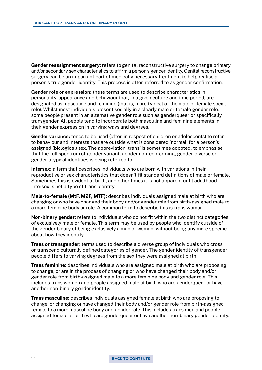**Gender reassignment surgery:** refers to genital reconstructive surgery to change primary and/or secondary sex characteristics to affirm a person's gender identity. Genital reconstructive surgery can be an important part of medically necessary treatment to help realise a person's true gender identity. This process is often referred to as gender confirmation.

**Gender role or expression:** these terms are used to describe characteristics in personality, appearance and behaviour that, in a given culture and time period, are designated as masculine and feminine (that is, more typical of the male or female social role). Whilst most individuals present socially in a clearly male or female gender role, some people present in an alternative gender role such as genderqueer or specifically transgender. All people tend to incorporate both masculine and feminine elements in their gender expression in varying ways and degrees.

**Gender variance:** tends to be used (often in respect of children or adolescents) to refer to behaviour and interests that are outside what is considered 'normal' for a person's assigned (biological) sex. The abbreviation 'trans' is sometimes adopted, to emphasise that the full spectrum of gender-variant, gender non-conforming, gender-diverse or gender-atypical identities is being referred to.

**Intersex:** a term that describes individuals who are born with variations in their reproductive or sex characteristics that doesn't fit standard definitions of male or female. Sometimes this is evident at birth, and other times it is not apparent until adulthood. Intersex is not a type of trans identity.

**Male-to-female (MtF, M2F, MTF):** describes individuals assigned male at birth who are changing or who have changed their body and/or gender role from birth-assigned male to a more feminine body or role. A common term to describe this is trans woman.

**Non-binary gender:** refers to individuals who do not fit within the two distinct categories of exclusively male or female. This term may be used by people who identify outside of the gender binary of being exclusively a man or woman, without being any more specific about how they identify.

**Trans or transgender:** terms used to describe a diverse group of individuals who cross or transcend culturally defined categories of gender. The gender identity of transgender people differs to varying degrees from the sex they were assigned at birth.

**Trans feminine:** describes individuals who are assigned male at birth who are proposing to change, or are in the process of changing or who have changed their body and/or gender role from birth-assigned male to a more feminine body and gender role. This includes trans women and people assigned male at birth who are genderqueer or have another non-binary gender identity.

**Trans masculine:** describes individuals assigned female at birth who are proposing to change, or changing or have changed their body and/or gender role from birth-assigned female to a more masculine body and gender role. This includes trans men and people assigned female at birth who are genderqueer or have another non-binary gender identity.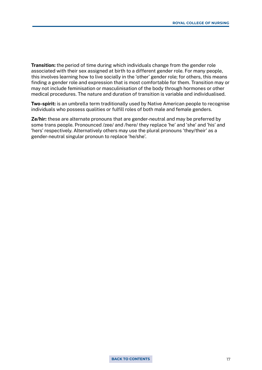**Transition:** the period of time during which individuals change from the gender role associated with their sex assigned at birth to a different gender role. For many people, this involves learning how to live socially in the 'other' gender role; for others, this means finding a gender role and expression that is most comfortable for them. Transition may or may not include feminisation or masculinisation of the body through hormones or other medical procedures. The nature and duration of transition is variable and individualised.

**Two-spirit:** is an umbrella term traditionally used by Native American people to recognise individuals who possess qualities or fulfill roles of both male and female genders.

**Ze/hir:** these are alternate pronouns that are gender-neutral and may be preferred by some trans people. Pronounced /zee/ and /here/ they replace 'he' and 'she' and 'his' and 'hers' respectively. Alternatively others may use the plural pronouns 'they/their' as a gender-neutral singular pronoun to replace 'he/she'.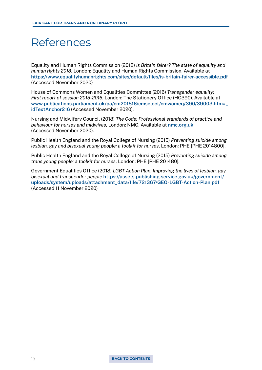### <span id="page-17-0"></span>References

Equality and Human Rights Commission (2018) *Is Britain fairer? The state of equality and human rights 2018*, London: Equality and Human Rights Commission. Available at **<https://www.equalityhumanrights.com/sites/default/files/is-britain-fairer-accessible.pdf>** (Accessed November 2020)

House of Commons Women and Equalities Committee (2016) *Transgender equality: First report of session 2015-2016*, London: The Stationery Office (HC390). Available at **[www.publications.parliament.uk/pa/cm201516/cmselect/cmwomeq/390/39003.htm#\\_](http://www.publications.parliament.uk/pa/cm201516/cmselect/cmwomeq/390/39003.htm#_idTextAnchor216) [idTextAnchor216](http://www.publications.parliament.uk/pa/cm201516/cmselect/cmwomeq/390/39003.htm#_idTextAnchor216)** (Accessed November 2020).

Nursing and Midwifery Council (2018) *The Code: Professional standards of practice and behaviour for nurses and midwives*, London: NMC. Available at **[nmc.org.uk](http://nmc.org.uk)** (Accessed November 2020).

Public Health England and the Royal College of Nursing (2015) *Preventing suicide among lesbian, gay and bisexual young people: a toolkit for nurses*, London: PHE [PHE 2014800].

Public Health England and the Royal College of Nursing (2015) *Preventing suicide among trans young people: a toolkit for nurses*, London: PHE [PHE 201480].

Government Equalities Office (2018) *LGBT Action Plan: Improving the lives of lesbian, gay, bisexual and transgender people* **[https://assets.publishing.service.gov.uk/government/](https://assets.publishing.service.gov.uk/government/uploads/system/uploads/attachment_data/file/721367/GEO-LGBT-Action-Plan.pdf) [uploads/system/uploads/attachment\\_data/file/721367/GEO-LGBT-Action-Plan.pdf](https://assets.publishing.service.gov.uk/government/uploads/system/uploads/attachment_data/file/721367/GEO-LGBT-Action-Plan.pdf)** (Accessed 11 November 2020)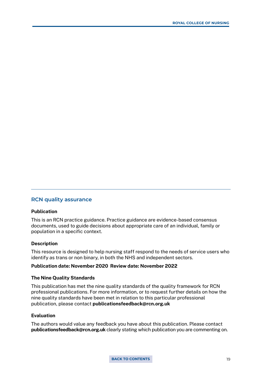### **RCN quality assurance**

### **Publication**

This is an RCN practice guidance. Practice guidance are evidence-based consensus documents, used to guide decisions about appropriate care of an individual, family or population in a specific context.

### **Description**

This resource is designed to help nursing staff respond to the needs of service users who identify as trans or non binary, in both the NHS and independent sectors.

### **Publication date: November 2020 Review date: November 2022**

### **The Nine Quality Standards**

This publication has met the nine quality standards of the quality framework for RCN professional publications. For more information, or to request further details on how the nine quality standards have been met in relation to this particular professional publication, please contact **[publicationsfeedback@rcn.org.uk](mailto:publicationsfeedback@rcn.org.uk)** 

### **Evaluation**

The authors would value any feedback you have about this publication. Please contact **[publicationsfeedback@rcn.org.uk](mailto:publicationsfeedback@rcn.org.uk)** clearly stating which publication you are commenting on.